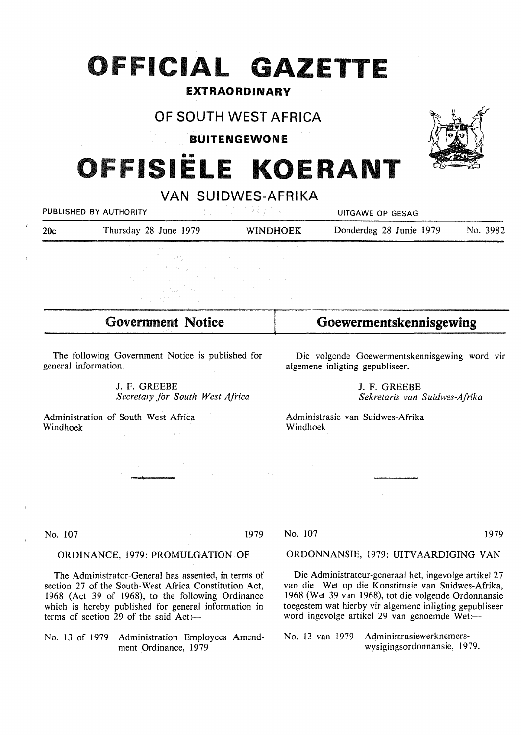# **FFICIAL GAZETTE**

### **EXTRAORDINARY**

## **OF SOUTH WEST AFRICA**

**BUITENGEWONE** 

## •• **FISIELE KOERANT**

**VAN SUIDWES-AFRIKA** 

PUBLISHED BY AUTHORITY And the state of the state of the UITGAWE OP GESAG

| 20c | Thursday 28 June 1979 |  | <b>WINDHOEK</b> | Donderdag 28 Junie 1979 |  |  | No. 3982 |
|-----|-----------------------|--|-----------------|-------------------------|--|--|----------|
|     |                       |  |                 |                         |  |  |          |

The following Government Notice is published for general information.

Government **Notice** 

J. F. GREEBE *Secretary for South West Africa* 

a antara ang pangangangan<br>Lisa ng Katika ng Kalaysia ng Ka

Administration of South West Africa Windhoek

Die volgende Goewermentskennisgewing word vir algemene inligting gepubliseer.

**Goewermentskennisgewing** 

J. F. GREEBE *Sekretaris van Suidwes-Afrika* 

Administrasie van Suidwes-Afrika Windhoek

No. 107 1979

#### **ORDINANCE,** 1979: **PROMULGATION OF**

The Administrator-General has assented, in terms of section 27 of the South-West Africa Constitution Act, 1968 (Act 39 of 1968), to the following Ordinance which is hereby published for general information in terms of section 29 of the said  $Act:=$ 

No. 13 of 1979 Administration Employees Amendment Ordinance, 1979

ORDONNANSIE, 1979: UITVAARDIGING VAN

Die Administrateur-generaal het, ingevolge artikel 27 van die Wet op die Konstitusie van Suidwes-Afrika, 1968 (Wet 39 van 1968), tot die volgende Ordonnansie toegestem wat hierby vir algemene inligting gepubliseer word ingevolge artikel 29 van genoemde Wet:-

No. 13 van 1979 Administrasiewerknemerswysigingsordonnansie, 1979.



No. 107 1979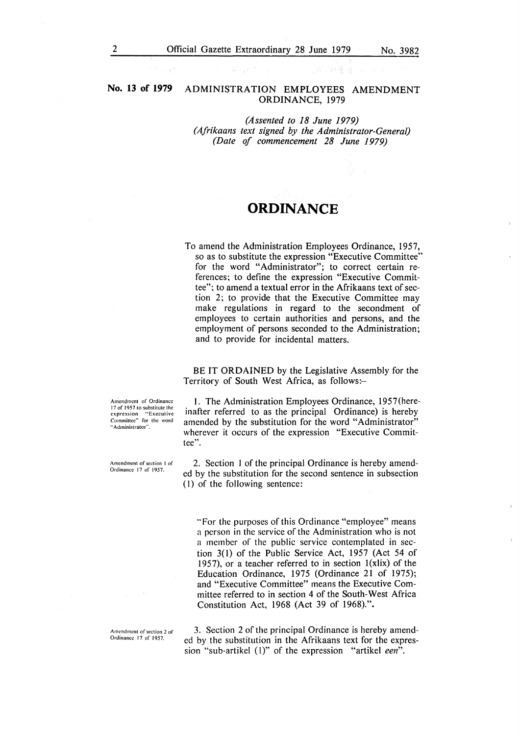#### **No. 13 of 1979** ADMINISTRATION EMPLOYEES AMENDMENT ORDINANCE, 1979

*(Assented to 18 June 1979) (Afrikaans text signed by the Administrator-General) (Date of commencement 28 June 1979)* 

## **ORDINANCE**

To amend the Administration Employees Ordinance, 1957, so as to substitute the expression "Executive Committee" for the word "Administrator"; to correct certain references; to define the expression "Executive Committee"; to amend a textual error in the Afrikaans text of section 2; to provide that the Executive Committee may make regulations in regard to the secondment of employees to certain authorities and persons, and the employment of persons seconded to the Administration; and to provide for incidental matters.

BE IT **ORDAINED** by the Legislative Assembly for the Territory of South West Africa, as follows:-

Amendment of Ordinance 17 of 1957 to substitute the expression "Executive<br>Committee" for the word •· Administrator".

Amendment of section I of Ordinance 17 of 1957.

Amendment of section 2 of Ordinance 17 of 1957.

!. The Administration Employees Ordinance, 1957(hereinafter referred to as the principal Ordinance) is hereby amended by the substitution for the word "Administrator" wherever it occurs of the expression "Executive Committee".

2. Section I of the principal Ordinance is hereby amended by the substitution for the second sentence in subsection (I) of the following sentence:

'"For the purposes of this Ordinance "employee" means a person in the service of the Administration who is not a member of the public service contemplated in section 3(1) of the Public Service Act, 1957 (Act 54 of 1957), or a teacher referred to in section  $1(x)$  of the Education Ordinance, 1975 (Ordinance 21 of 1975); and "Executive Committee" means the Executive Committee referred to in section 4 of the South-West Africa Constitution Act, 1968 (Act 39 of 1968).".

3. Section 2 of the principal Ordinance is hereby amended by the substitution in the Afrikaans text for the expression "sub-artikel (1)" of the expression "artikel *een*".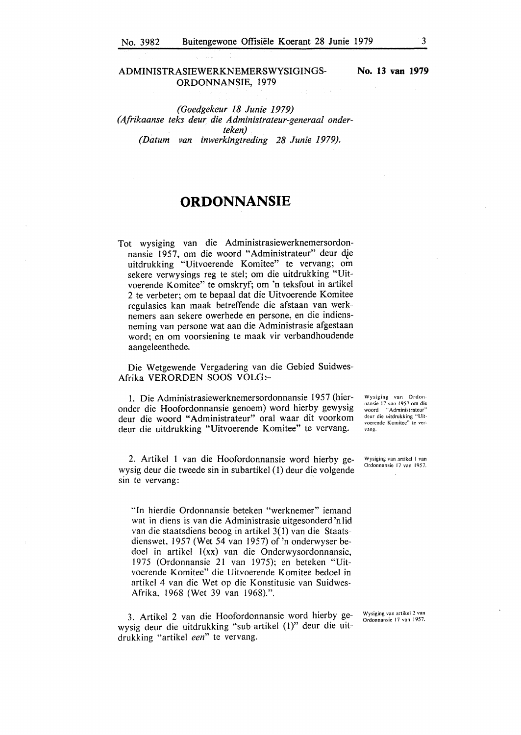#### ADMINISTRASIEWERKNEMER:SWYSIGINGS-ORDONNANSIE, 1979

**No. 13 van 1979** 

*(Goedgekeur 18 Junie 1979) (Afrikaanse teks deur die Administrateur-generaal onderteken) (Datum van inwerkingtreding 28 Junie 1979).* 

## **ORDONNANSIE**

Tot wysiging van die Administrasiewerknemersordonnansie 1957, om die woord "Administrateur" deur die uitdrukking "Uitvoerende Komitee" te vervang; om sekere verwysings reg te stel; om die uitdrukking "Uitvoerende Komitee" te omskryf; om 'n teksfout in artikel 2 te verbeter; om te bepaal dat die Uitvoerende Komitee regulasies kan maak betreffende die afstaan van werknemers aan sekere owerhede en persone, en die indiensneming van persone wat aan die Administrasie afgestaan word; en om voorsiening te maak vir verbandhoudende aangeleenthede.

Die Wetgewende Vergadering van die Gebied Suidwes-Afrika VERORDEN SOOS VOLG:-

I. Die Administrasiewerknemersordonnansie 1957 (hieronder die Hoofordonnansie genoem) word hierby gewysig deur die woord "Administrateur" oral waar dit voorkom deur die uitdrukking "Uitvoerende Komitee" te vervang.

2. Artikel l van die Hoofordonnansie word hierby gewysig deur die tweede sin in subartikel ( 1) deur die volgende sin te vervang:

"In hierdie Ordonnansie beteken "werknemer" iemand wat in diens is van die Administrasie uitgesonderd'nlid van die staatsdiens beoog in artikel 3( I) van die Staatsdienswet, 1957 (Wet 54 van 1957) of 'n onderwyser bedoel in artikel  $I(xx)$  van die Onderwysordonnansie, 1975 (Ordonnansie 21 van 1975); en beteken "Uitvoerende Komitee" die Uitvoerende Komitee bedoel in artikel 4 van die Wet op die Konstitusie van Suidwes-Afrika, 1968 (Wet 39 van 1968).".

3. Artikel 2 van die Hoofordonnansie word hierby gewysig deur die uitdrukking "sub-artikel (1)" deur die uitdrukking "artikel *een"* te vervang.

Wysiging van Ordonnansie 17 van 1957 om die<br>woord "Administrateur" deur die uitdrukking "Uitvoerende Komitee" te vervang.

Wysiging van artikel I van Ordonnansie 17 van 1957.

Wysiging van artikcl 2 van Ordonnansie 17 van 1957.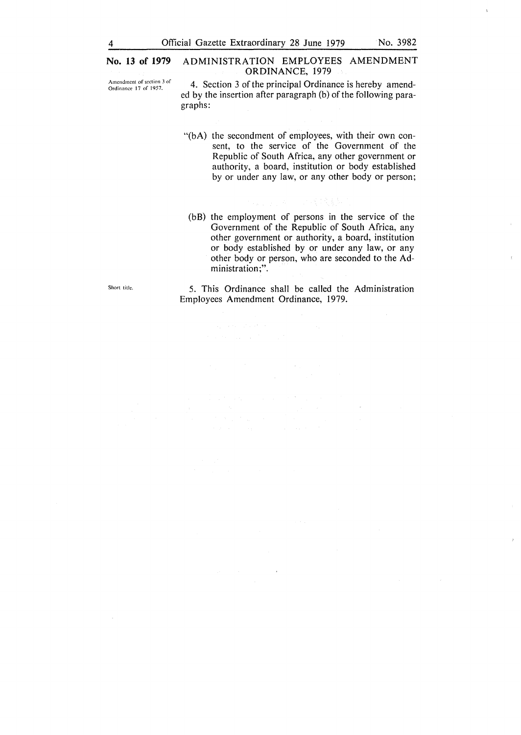#### No. 13 of **1979 ADMINISTRATION EMPLOYEES AMENDMENT ORDINANCE,** 1979

- Amendment of section 3 of Ordinance 17 of 1957.
	- 4. Section 3 of the principal Ordinance is hereby amended by the insertion after paragraph (b) of the following paragraphs:
		- "(bA) the secondment of employees, with their own consent, to the service of the Government of the Republic of South Africa, any other government or authority, a board, institution or body established by or under any law, or any other body or person;
			- (bB) the employment of persons in the service of the Government of the Republic of South Africa, any other government or authority, a board, institution or body established by or under any law, or any other body or person, who are seconded to the Administration;".

5. This Ordinance shall be called the Administration Employees Amendment Ordinance, 1979.

Short title.